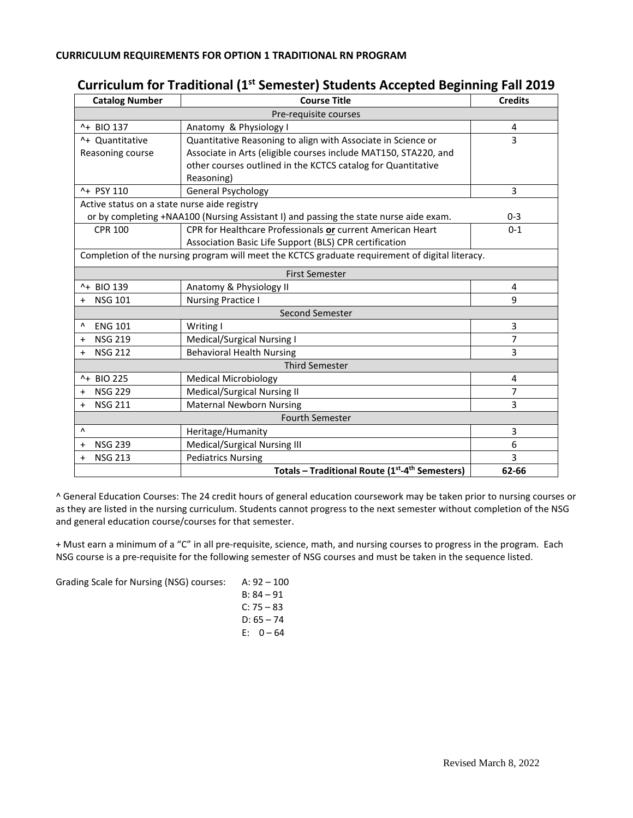## **Curriculum for Traditional (1st Semester) Students Accepted Beginning Fall 2019**

| <b>Catalog Number</b>                                                                           | <b>Course Title</b>                                             | <b>Credits</b> |  |
|-------------------------------------------------------------------------------------------------|-----------------------------------------------------------------|----------------|--|
| Pre-requisite courses                                                                           |                                                                 |                |  |
| ^+ BIO 137                                                                                      | Anatomy & Physiology I                                          | 4              |  |
| ^+ Ouantitative                                                                                 | Quantitative Reasoning to align with Associate in Science or    | 3              |  |
| Reasoning course                                                                                | Associate in Arts (eligible courses include MAT150, STA220, and |                |  |
|                                                                                                 | other courses outlined in the KCTCS catalog for Quantitative    |                |  |
|                                                                                                 | Reasoning)                                                      |                |  |
| ^+ PSY 110                                                                                      | <b>General Psychology</b>                                       | 3              |  |
| Active status on a state nurse aide registry                                                    |                                                                 |                |  |
| or by completing +NAA100 (Nursing Assistant I) and passing the state nurse aide exam.           |                                                                 | $0 - 3$        |  |
| <b>CPR 100</b>                                                                                  | CPR for Healthcare Professionals or current American Heart      | $0 - 1$        |  |
|                                                                                                 | Association Basic Life Support (BLS) CPR certification          |                |  |
| Completion of the nursing program will meet the KCTCS graduate requirement of digital literacy. |                                                                 |                |  |
|                                                                                                 | <b>First Semester</b>                                           |                |  |
| ^+ BIO 139                                                                                      | Anatomy & Physiology II                                         | 4              |  |
| <b>NSG 101</b>                                                                                  | <b>Nursing Practice I</b>                                       | 9              |  |
|                                                                                                 | <b>Second Semester</b>                                          |                |  |
| <b>ENG 101</b><br>٨                                                                             | Writing I                                                       | 3              |  |
| <b>NSG 219</b><br>$\ddot{}$                                                                     | <b>Medical/Surgical Nursing I</b>                               | 7              |  |
| <b>NSG 212</b><br>$\ddot{}$                                                                     | <b>Behavioral Health Nursing</b>                                | 3              |  |
| <b>Third Semester</b>                                                                           |                                                                 |                |  |
| ^+ BIO 225                                                                                      | <b>Medical Microbiology</b>                                     | 4              |  |
| <b>NSG 229</b><br>$\ddot{}$                                                                     | Medical/Surgical Nursing II                                     | 7              |  |
| <b>NSG 211</b><br>$\ddot{}$                                                                     | <b>Maternal Newborn Nursing</b>                                 | 3              |  |
|                                                                                                 | <b>Fourth Semester</b>                                          |                |  |
| Λ                                                                                               | Heritage/Humanity                                               | 3              |  |
| <b>NSG 239</b><br>$\ddot{}$                                                                     | <b>Medical/Surgical Nursing III</b>                             | 6              |  |
| <b>NSG 213</b><br>$\ddot{}$                                                                     | <b>Pediatrics Nursing</b>                                       | 3              |  |
|                                                                                                 | Totals - Traditional Route (1st-4th Semesters)                  | 62-66          |  |

^ General Education Courses: The 24 credit hours of general education coursework may be taken prior to nursing courses or as they are listed in the nursing curriculum. Students cannot progress to the next semester without completion of the NSG and general education course/courses for that semester.

+ Must earn a minimum of a "C" in all pre-requisite, science, math, and nursing courses to progress in the program. Each NSG course is a pre-requisite for the following semester of NSG courses and must be taken in the sequence listed.

Grading Scale for Nursing (NSG) courses: A: 92 – 100

| 5. <i>JL</i> 100 |          |
|------------------|----------|
| B: 84 – 91       |          |
| C: 75 – 83       |          |
| D: 65 – 74       |          |
| F: I             | $0 - 64$ |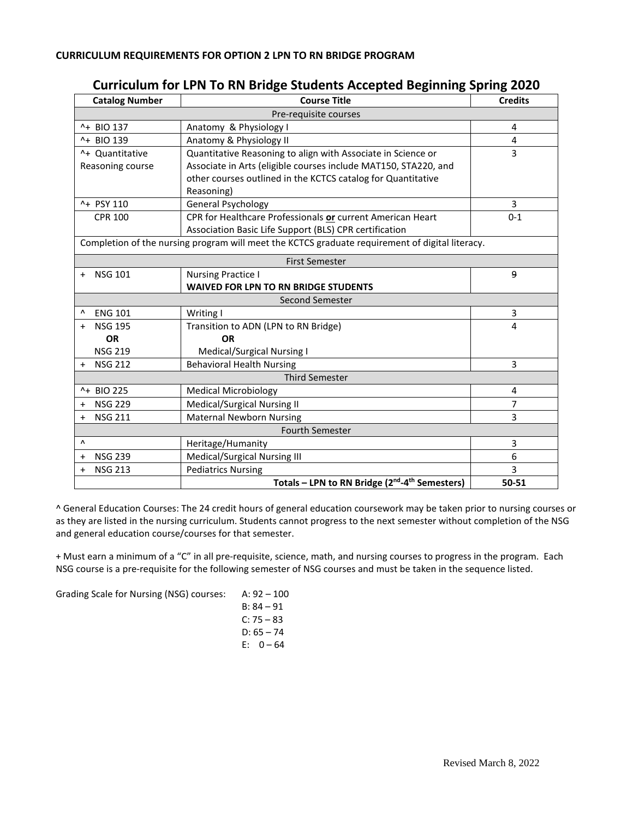| <b>Catalog Number</b>       | ິ<br>ັ<br><b>Course Title</b>                                                                   | <b>Credits</b> |
|-----------------------------|-------------------------------------------------------------------------------------------------|----------------|
| Pre-requisite courses       |                                                                                                 |                |
| ^+ BIO 137                  | Anatomy & Physiology I                                                                          | 4              |
| ^+ BIO 139                  | Anatomy & Physiology II                                                                         | 4              |
| ^+ Quantitative             | Quantitative Reasoning to align with Associate in Science or                                    | 3              |
| Reasoning course            | Associate in Arts (eligible courses include MAT150, STA220, and                                 |                |
|                             | other courses outlined in the KCTCS catalog for Quantitative                                    |                |
|                             | Reasoning)                                                                                      |                |
| ^+ PSY 110                  | General Psychology                                                                              | 3              |
| <b>CPR 100</b>              | CPR for Healthcare Professionals or current American Heart                                      | $0 - 1$        |
|                             | Association Basic Life Support (BLS) CPR certification                                          |                |
|                             | Completion of the nursing program will meet the KCTCS graduate requirement of digital literacy. |                |
| <b>First Semester</b>       |                                                                                                 |                |
| <b>NSG 101</b>              | <b>Nursing Practice I</b>                                                                       | 9              |
|                             | <b>WAIVED FOR LPN TO RN BRIDGE STUDENTS</b>                                                     |                |
|                             | Second Semester                                                                                 |                |
| <b>ENG 101</b>              | Writing I                                                                                       | 3              |
| <b>NSG 195</b>              | Transition to ADN (LPN to RN Bridge)                                                            | 4              |
| <b>OR</b>                   | <b>OR</b>                                                                                       |                |
| <b>NSG 219</b>              | Medical/Surgical Nursing I                                                                      |                |
| <b>NSG 212</b>              | <b>Behavioral Health Nursing</b>                                                                | 3              |
|                             | <b>Third Semester</b>                                                                           |                |
| ^+ BIO 225                  | <b>Medical Microbiology</b>                                                                     | 4              |
| <b>NSG 229</b><br>$\ddot{}$ | Medical/Surgical Nursing II                                                                     | 7              |
| <b>NSG 211</b><br>$\ddot{}$ | <b>Maternal Newborn Nursing</b>                                                                 | 3              |
| <b>Fourth Semester</b>      |                                                                                                 |                |
| Λ                           | Heritage/Humanity                                                                               | 3              |
| <b>NSG 239</b><br>$\ddot{}$ | Medical/Surgical Nursing III                                                                    | 6              |
| <b>NSG 213</b><br>$\ddot{}$ | <b>Pediatrics Nursing</b>                                                                       | 3              |
|                             | Totals - LPN to RN Bridge (2 <sup>nd</sup> -4 <sup>th</sup> Semesters)                          | 50-51          |

## **Curriculum for LPN To RN Bridge Students Accepted Beginning Spring 2020**

^ General Education Courses: The 24 credit hours of general education coursework may be taken prior to nursing courses or as they are listed in the nursing curriculum. Students cannot progress to the next semester without completion of the NSG and general education course/courses for that semester.

+ Must earn a minimum of a "C" in all pre-requisite, science, math, and nursing courses to progress in the program. Each NSG course is a pre-requisite for the following semester of NSG courses and must be taken in the sequence listed.

Grading Scale for Nursing (NSG) courses: A: 92 – 100

| B: 84 – 91   |  |
|--------------|--|
| $C: 75 - 83$ |  |
| D: 65 – 74   |  |
| E: 0 – 64    |  |